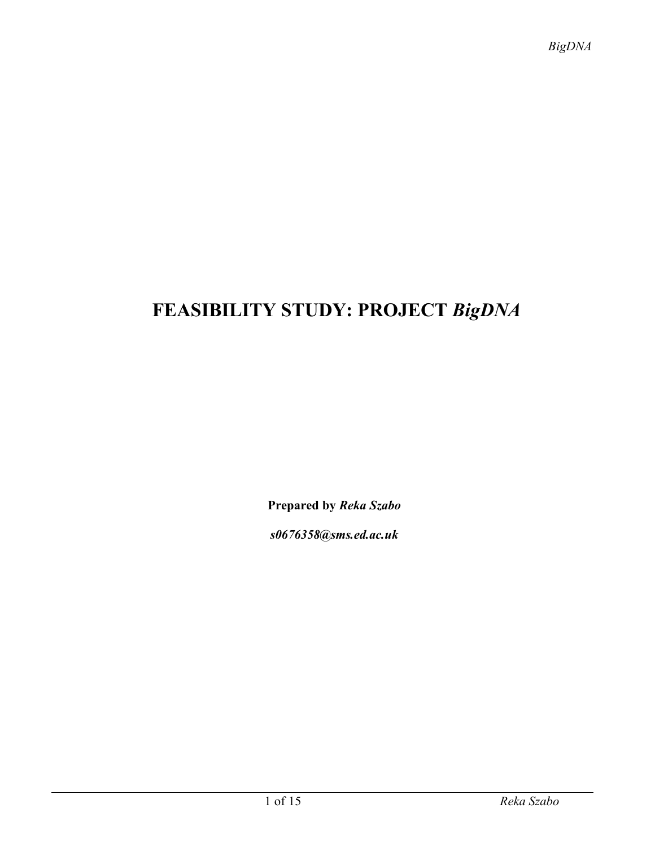# **FEASIBILITY STUDY: PROJECT** *BigDNA*

**Prepared by** *Reka Szabo*

*s0676358@sms.ed.ac.uk*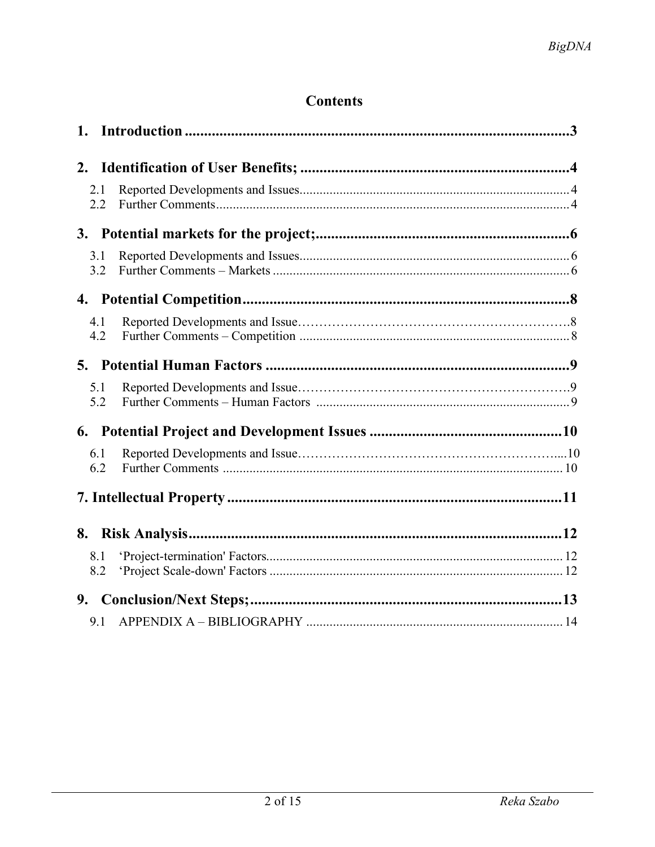## **Contents**

| 2.1<br>2.2 |  |
|------------|--|
|            |  |
| 3.1<br>3.2 |  |
|            |  |
| 4.1<br>4.2 |  |
|            |  |
| 5.1<br>5.2 |  |
|            |  |
| 6.1<br>6.2 |  |
|            |  |
|            |  |
| 8.1<br>8.2 |  |
|            |  |
| 9.1        |  |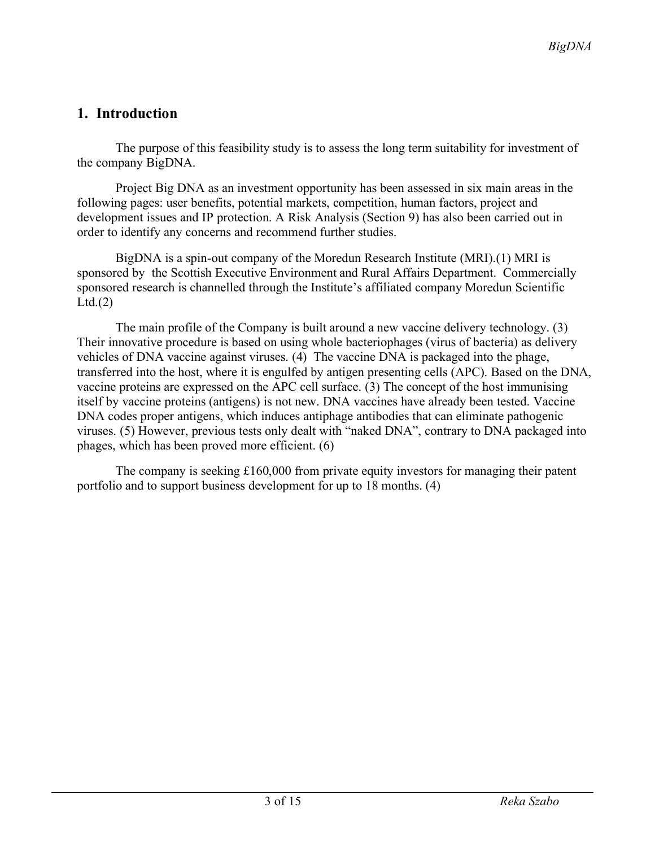## **1. Introduction**

The purpose of this feasibility study is to assess the long term suitability for investment of the company BigDNA.

Project Big DNA as an investment opportunity has been assessed in six main areas in the following pages: user benefits, potential markets, competition, human factors, project and development issues and IP protection. A Risk Analysis (Section 9) has also been carried out in order to identify any concerns and recommend further studies.

BigDNA is a spin-out company of the Moredun Research Institute (MRI).(1) MRI is sponsored by the Scottish Executive Environment and Rural Affairs Department. Commercially sponsored research is channelled through the Institute's affiliated company Moredun Scientific  $Ltd.(2)$ 

The main profile of the Company is built around a new vaccine delivery technology. (3) Their innovative procedure is based on using whole bacteriophages (virus of bacteria) as delivery vehicles of DNA vaccine against viruses. (4) The vaccine DNA is packaged into the phage, transferred into the host, where it is engulfed by antigen presenting cells (APC). Based on the DNA, vaccine proteins are expressed on the APC cell surface. (3) The concept of the host immunising itself by vaccine proteins (antigens) is not new. DNA vaccines have already been tested. Vaccine DNA codes proper antigens, which induces antiphage antibodies that can eliminate pathogenic viruses. (5) However, previous tests only dealt with "naked DNA", contrary to DNA packaged into phages, which has been proved more efficient. (6)

The company is seeking £160,000 from private equity investors for managing their patent portfolio and to support business development for up to 18 months. (4)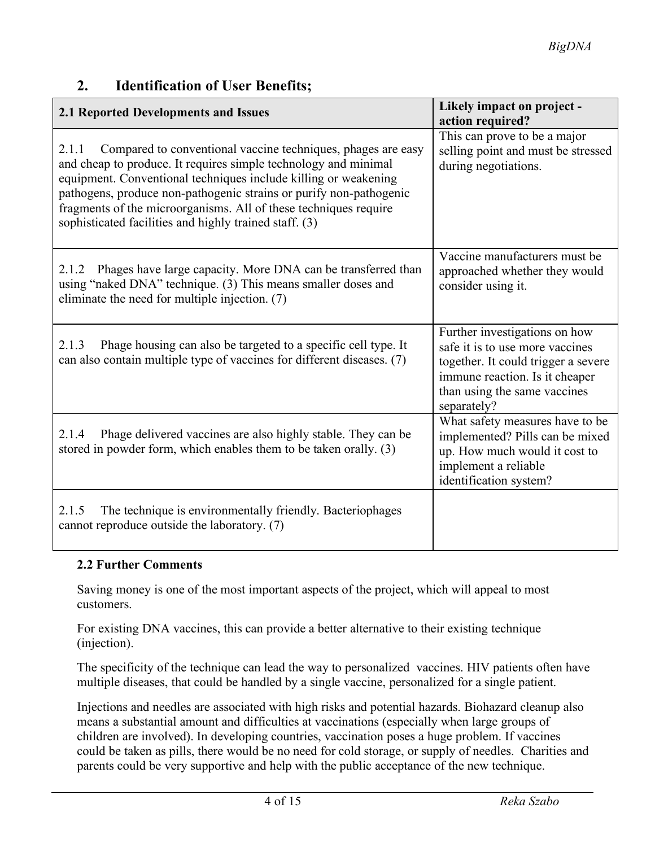| 2.1 Reported Developments and Issues                                                                                                                                                                                                                                                                                                                                                                            | Likely impact on project -<br>action required?                                                                                                                                           |
|-----------------------------------------------------------------------------------------------------------------------------------------------------------------------------------------------------------------------------------------------------------------------------------------------------------------------------------------------------------------------------------------------------------------|------------------------------------------------------------------------------------------------------------------------------------------------------------------------------------------|
| Compared to conventional vaccine techniques, phages are easy<br>2.1.1<br>and cheap to produce. It requires simple technology and minimal<br>equipment. Conventional techniques include killing or weakening<br>pathogens, produce non-pathogenic strains or purify non-pathogenic<br>fragments of the microorganisms. All of these techniques require<br>sophisticated facilities and highly trained staff. (3) | This can prove to be a major<br>selling point and must be stressed<br>during negotiations.                                                                                               |
| Phages have large capacity. More DNA can be transferred than<br>2.1.2<br>using "naked DNA" technique. (3) This means smaller doses and<br>eliminate the need for multiple injection. (7)                                                                                                                                                                                                                        | Vaccine manufacturers must be<br>approached whether they would<br>consider using it.                                                                                                     |
| Phage housing can also be targeted to a specific cell type. It<br>2.1.3<br>can also contain multiple type of vaccines for different diseases. (7)                                                                                                                                                                                                                                                               | Further investigations on how<br>safe it is to use more vaccines<br>together. It could trigger a severe<br>immune reaction. Is it cheaper<br>than using the same vaccines<br>separately? |
| Phage delivered vaccines are also highly stable. They can be<br>2.1.4<br>stored in powder form, which enables them to be taken orally. (3)                                                                                                                                                                                                                                                                      | What safety measures have to be<br>implemented? Pills can be mixed<br>up. How much would it cost to<br>implement a reliable<br>identification system?                                    |
| The technique is environmentally friendly. Bacteriophages<br>2.1.5<br>cannot reproduce outside the laboratory. (7)                                                                                                                                                                                                                                                                                              |                                                                                                                                                                                          |

#### **2. Identification of User Benefits;**

#### **2.2 Further Comments**

Saving money is one of the most important aspects of the project, which will appeal to most customers.

For existing DNA vaccines, this can provide a better alternative to their existing technique (injection).

The specificity of the technique can lead the way to personalized vaccines. HIV patients often have multiple diseases, that could be handled by a single vaccine, personalized for a single patient.

Injections and needles are associated with high risks and potential hazards. Biohazard cleanup also means a substantial amount and difficulties at vaccinations (especially when large groups of children are involved). In developing countries, vaccination poses a huge problem. If vaccines could be taken as pills, there would be no need for cold storage, or supply of needles. Charities and parents could be very supportive and help with the public acceptance of the new technique.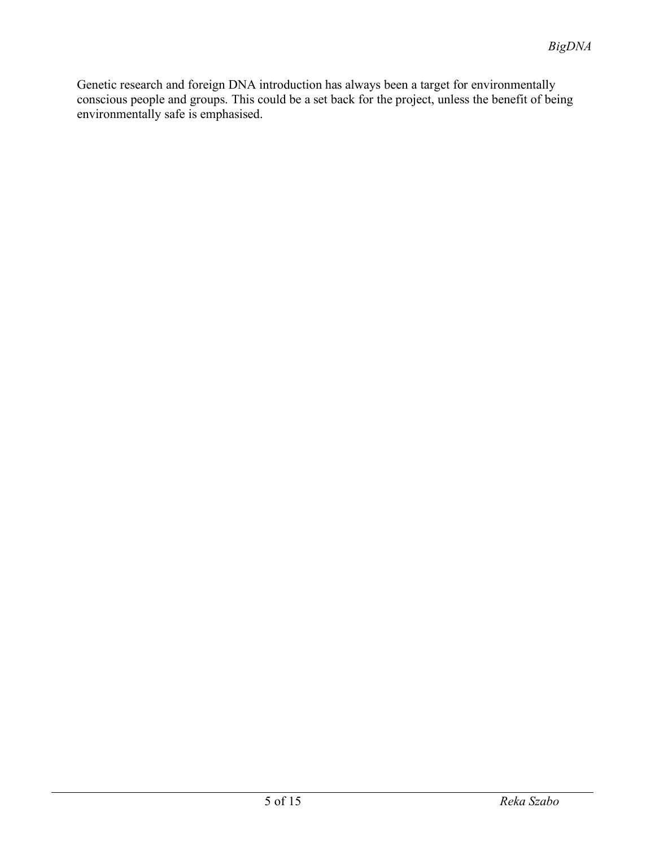Genetic research and foreign DNA introduction has always been a target for environmentally conscious people and groups. This could be a set back for the project, unless the benefit of being environmentally safe is emphasised.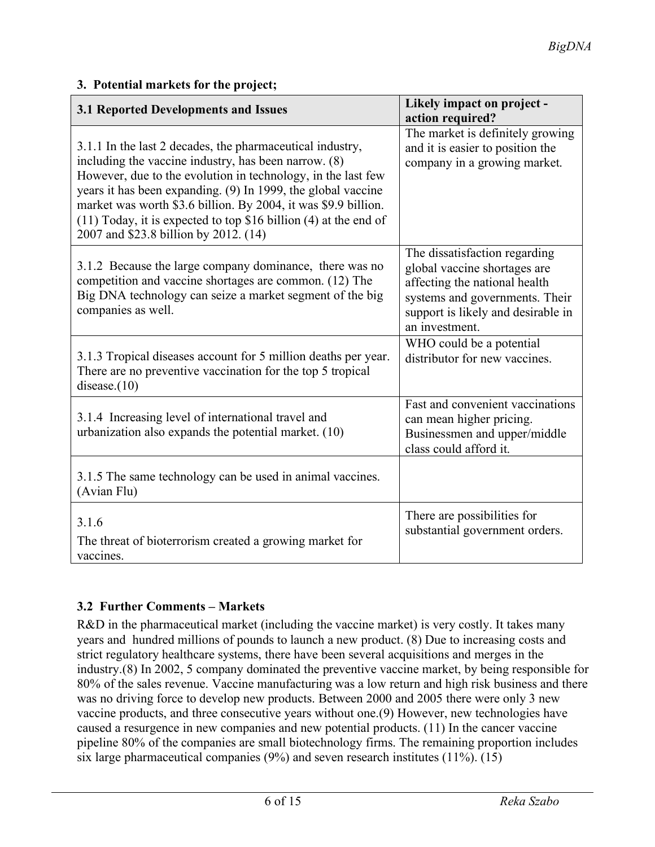| <b>3.1 Reported Developments and Issues</b>                                                                                                                                                                                                                                                                                                                                                                                          | Likely impact on project -<br>action required?                                                                                                                                           |
|--------------------------------------------------------------------------------------------------------------------------------------------------------------------------------------------------------------------------------------------------------------------------------------------------------------------------------------------------------------------------------------------------------------------------------------|------------------------------------------------------------------------------------------------------------------------------------------------------------------------------------------|
| 3.1.1 In the last 2 decades, the pharmaceutical industry,<br>including the vaccine industry, has been narrow. (8)<br>However, due to the evolution in technology, in the last few<br>years it has been expanding. (9) In 1999, the global vaccine<br>market was worth \$3.6 billion. By 2004, it was \$9.9 billion.<br>$(11)$ Today, it is expected to top \$16 billion $(4)$ at the end of<br>2007 and \$23.8 billion by 2012. (14) | The market is definitely growing<br>and it is easier to position the<br>company in a growing market.                                                                                     |
| 3.1.2 Because the large company dominance, there was no<br>competition and vaccine shortages are common. (12) The<br>Big DNA technology can seize a market segment of the big<br>companies as well.                                                                                                                                                                                                                                  | The dissatisfaction regarding<br>global vaccine shortages are<br>affecting the national health<br>systems and governments. Their<br>support is likely and desirable in<br>an investment. |
| 3.1.3 Tropical diseases account for 5 million deaths per year.<br>There are no preventive vaccination for the top 5 tropical<br>disease. $(10)$                                                                                                                                                                                                                                                                                      | WHO could be a potential<br>distributor for new vaccines.                                                                                                                                |
| 3.1.4 Increasing level of international travel and<br>urbanization also expands the potential market. (10)                                                                                                                                                                                                                                                                                                                           | Fast and convenient vaccinations<br>can mean higher pricing.<br>Businessmen and upper/middle<br>class could afford it.                                                                   |
| 3.1.5 The same technology can be used in animal vaccines.<br>(Avian Flu)                                                                                                                                                                                                                                                                                                                                                             |                                                                                                                                                                                          |
| 3.1.6<br>The threat of bioterrorism created a growing market for<br>vaccines.                                                                                                                                                                                                                                                                                                                                                        | There are possibilities for<br>substantial government orders.                                                                                                                            |

### **3. Potential markets for the project;**

## **3.2 Further Comments – Markets**

R&D in the pharmaceutical market (including the vaccine market) is very costly. It takes many years and hundred millions of pounds to launch a new product. (8) Due to increasing costs and strict regulatory healthcare systems, there have been several acquisitions and merges in the industry.(8) In 2002, 5 company dominated the preventive vaccine market, by being responsible for 80% of the sales revenue. Vaccine manufacturing was a low return and high risk business and there was no driving force to develop new products. Between 2000 and 2005 there were only 3 new vaccine products, and three consecutive years without one.(9) However, new technologies have caused a resurgence in new companies and new potential products. (11) In the cancer vaccine pipeline 80% of the companies are small biotechnology firms. The remaining proportion includes six large pharmaceutical companies (9%) and seven research institutes (11%). (15)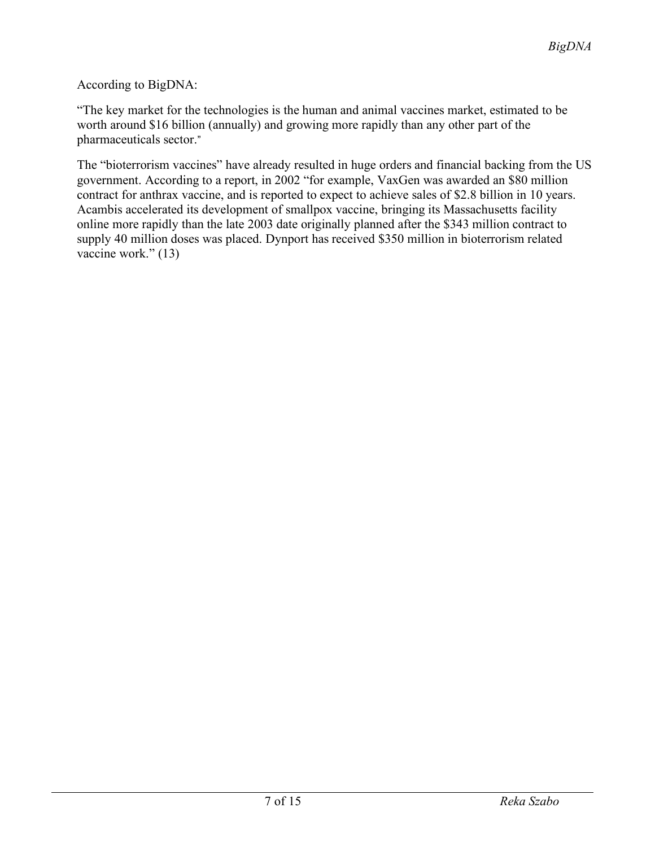#### According to BigDNA:

"The key market for the technologies is the human and animal vaccines market, estimated to be worth around \$16 billion (annually) and growing more rapidly than any other part of the pharmaceuticals sector."

The "bioterrorism vaccines" have already resulted in huge orders and financial backing from the US government. According to a report, in 2002 "for example, VaxGen was awarded an \$80 million contract for anthrax vaccine, and is reported to expect to achieve sales of \$2.8 billion in 10 years. Acambis accelerated its development of smallpox vaccine, bringing its Massachusetts facility online more rapidly than the late 2003 date originally planned after the \$343 million contract to supply 40 million doses was placed. Dynport has received \$350 million in bioterrorism related vaccine work." (13)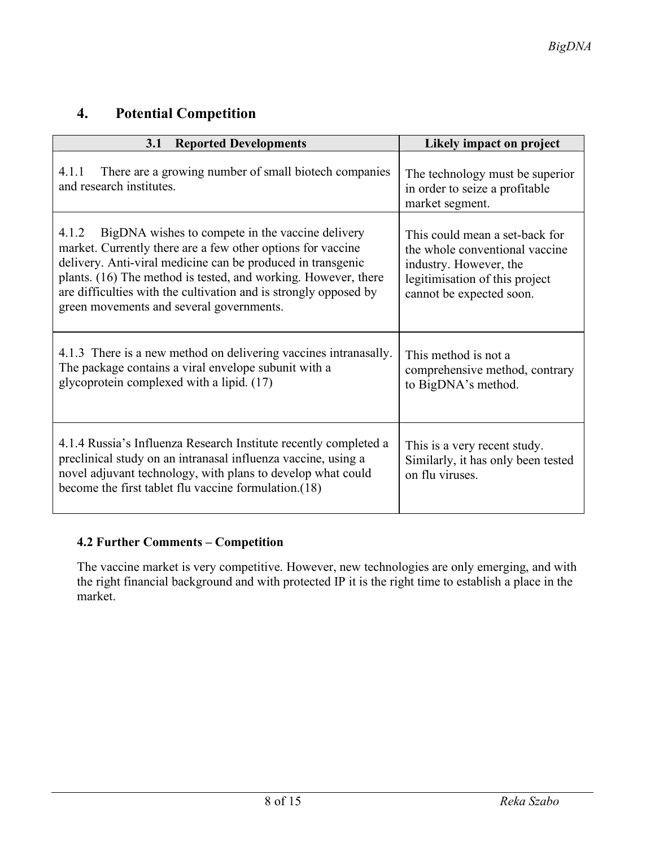## **4. Potential Competition**

| <b>Reported Developments</b><br>3.1                                                                                                                                                                                                                                                                                                                                       | Likely impact on project                                                                                                                                 |
|---------------------------------------------------------------------------------------------------------------------------------------------------------------------------------------------------------------------------------------------------------------------------------------------------------------------------------------------------------------------------|----------------------------------------------------------------------------------------------------------------------------------------------------------|
| There are a growing number of small biotech companies<br>4.1.1<br>and research institutes.                                                                                                                                                                                                                                                                                | The technology must be superior<br>in order to seize a profitable<br>market segment.                                                                     |
| BigDNA wishes to compete in the vaccine delivery<br>4.1.2<br>market. Currently there are a few other options for vaccine<br>delivery. Anti-viral medicine can be produced in transgenic<br>plants. (16) The method is tested, and working. However, there<br>are difficulties with the cultivation and is strongly opposed by<br>green movements and several governments. | This could mean a set-back for<br>the whole conventional vaccine<br>industry. However, the<br>legitimisation of this project<br>cannot be expected soon. |
| 4.1.3 There is a new method on delivering vaccines intranasally.<br>The package contains a viral envelope subunit with a<br>glycoprotein complexed with a lipid. (17)                                                                                                                                                                                                     | This method is not a<br>comprehensive method, contrary<br>to BigDNA's method.                                                                            |
| 4.1.4 Russia's Influenza Research Institute recently completed a<br>preclinical study on an intranasal influenza vaccine, using a<br>novel adjuvant technology, with plans to develop what could<br>become the first tablet flu vaccine formulation.(18)                                                                                                                  | This is a very recent study.<br>Similarly, it has only been tested<br>on flu viruses.                                                                    |

#### **4.2 Further Comments – Competition**

The vaccine market is very competitive. However, new technologies are only emerging, and with the right financial background and with protected IP it is the right time to establish a place in the market.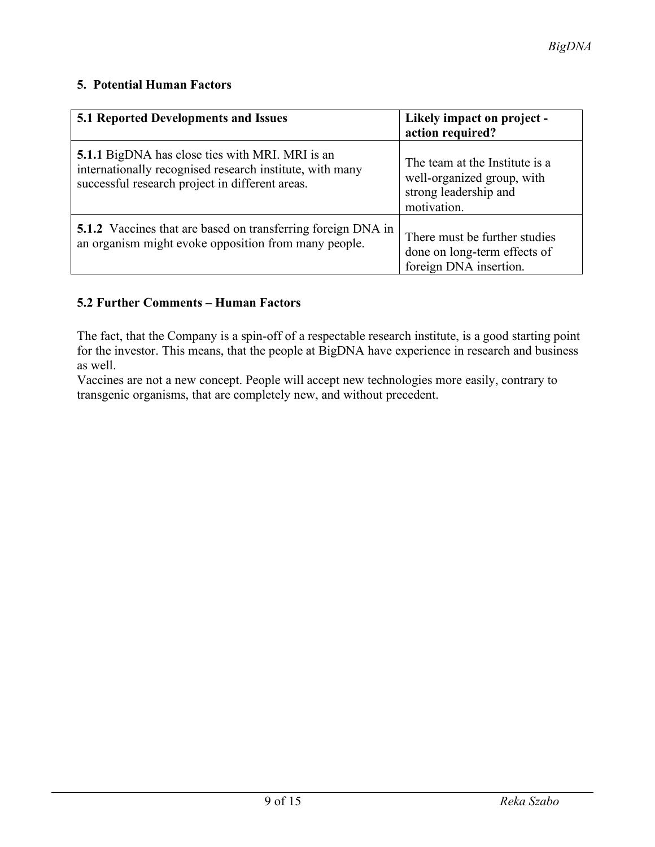#### **5. Potential Human Factors**

| 5.1 Reported Developments and Issues                                                                                                                                  | Likely impact on project -<br>action required?                                                       |
|-----------------------------------------------------------------------------------------------------------------------------------------------------------------------|------------------------------------------------------------------------------------------------------|
| <b>5.1.1</b> BigDNA has close ties with MRI. MRI is an<br>internationally recognised research institute, with many<br>successful research project in different areas. | The team at the Institute is a<br>well-organized group, with<br>strong leadership and<br>motivation. |
| <b>5.1.2</b> Vaccines that are based on transferring foreign DNA in<br>an organism might evoke opposition from many people.                                           | There must be further studies<br>done on long-term effects of<br>foreign DNA insertion.              |

#### **5.2 Further Comments – Human Factors**

The fact, that the Company is a spin-off of a respectable research institute, is a good starting point for the investor. This means, that the people at BigDNA have experience in research and business as well.

Vaccines are not a new concept. People will accept new technologies more easily, contrary to transgenic organisms, that are completely new, and without precedent.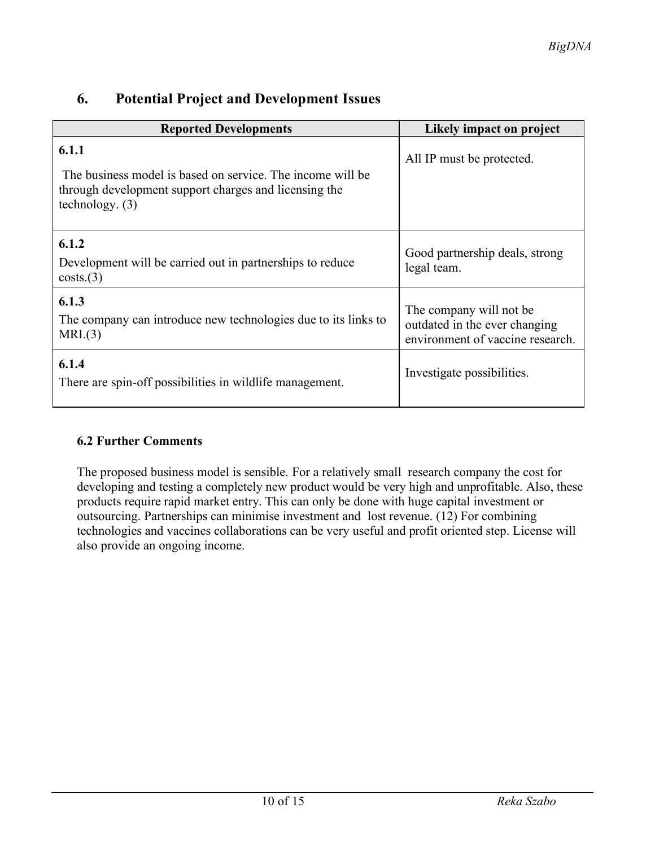| <b>Reported Developments</b>                                                                                                                      | Likely impact on project                                                                      |
|---------------------------------------------------------------------------------------------------------------------------------------------------|-----------------------------------------------------------------------------------------------|
| 6.1.1<br>The business model is based on service. The income will be<br>through development support charges and licensing the<br>technology. $(3)$ | All IP must be protected.                                                                     |
| 6.1.2<br>Development will be carried out in partnerships to reduce<br>costs.(3)                                                                   | Good partnership deals, strong<br>legal team.                                                 |
| 6.1.3<br>The company can introduce new technologies due to its links to<br>MRI.(3)                                                                | The company will not be.<br>outdated in the ever changing<br>environment of vaccine research. |
| 6.1.4<br>There are spin-off possibilities in wildlife management.                                                                                 | Investigate possibilities.                                                                    |

## **6. Potential Project and Development Issues**

#### **6.2 Further Comments**

The proposed business model is sensible. For a relatively small research company the cost for developing and testing a completely new product would be very high and unprofitable. Also, these products require rapid market entry. This can only be done with huge capital investment or outsourcing. Partnerships can minimise investment and lost revenue. (12) For combining technologies and vaccines collaborations can be very useful and profit oriented step. License will also provide an ongoing income.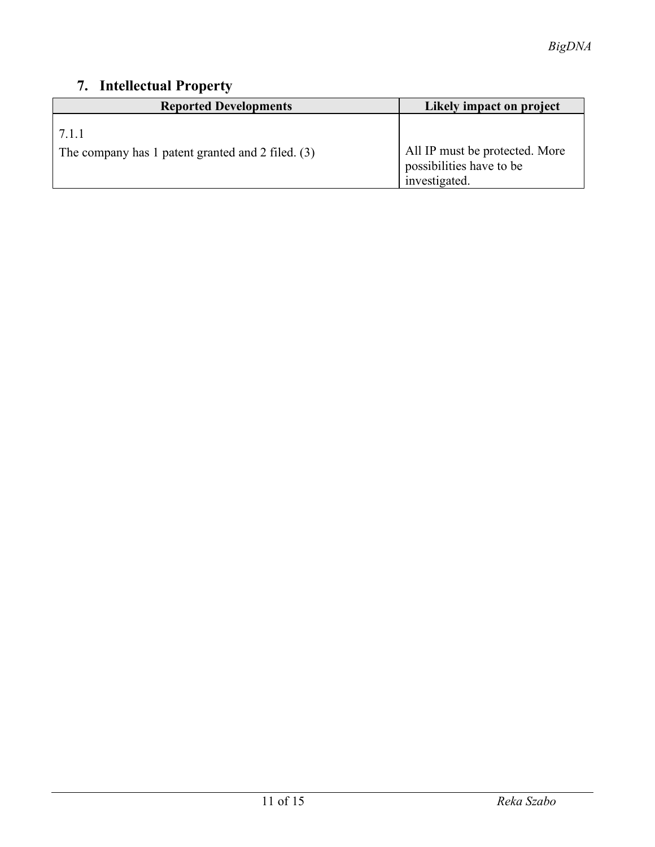## **7. Intellectual Property**

| <b>Reported Developments</b>                               | Likely impact on project                                                    |
|------------------------------------------------------------|-----------------------------------------------------------------------------|
| 7.1.1<br>The company has 1 patent granted and 2 filed. (3) | All IP must be protected. More<br>possibilities have to be<br>investigated. |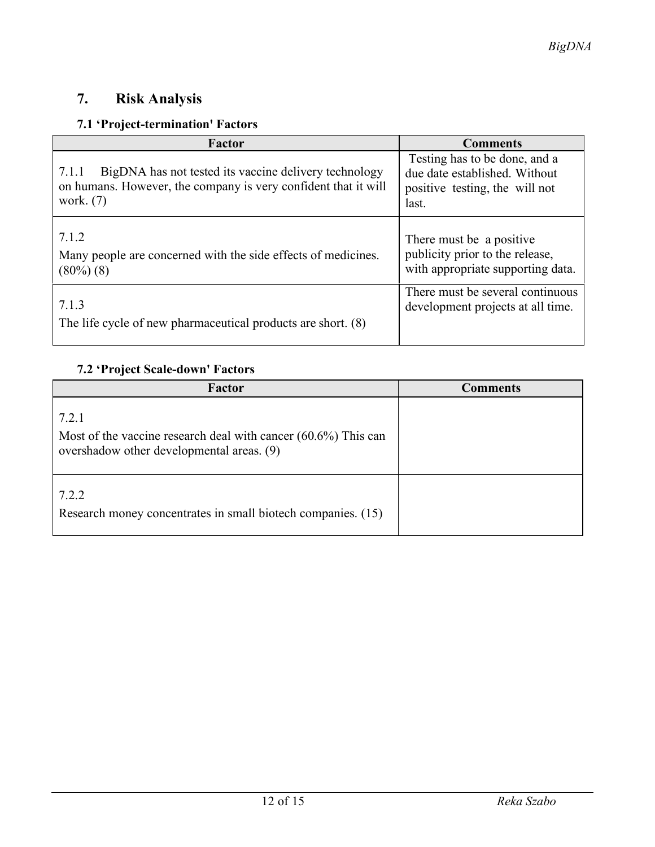## **7. Risk Analysis**

## **7.1 'Project-termination' Factors**

| Factor                                                         | <b>Comments</b>                   |
|----------------------------------------------------------------|-----------------------------------|
| BigDNA has not tested its vaccine delivery technology          | Testing has to be done, and a     |
| 7.1.1                                                          | due date established. Without     |
| on humans. However, the company is very confident that it will | positive testing, the will not    |
| work. $(7)$                                                    | last.                             |
| 7.1.2                                                          | There must be a positive          |
| Many people are concerned with the side effects of medicines.  | publicity prior to the release,   |
| $(80\%) (8)$                                                   | with appropriate supporting data. |
| 7.1.3                                                          | There must be several continuous  |
| The life cycle of new pharmaceutical products are short. (8)   | development projects at all time. |

## **7.2 'Project Scale-down' Factors**

| Factor                                                                                                                  | Comments |
|-------------------------------------------------------------------------------------------------------------------------|----------|
| 7.2.1<br>Most of the vaccine research deal with cancer $(60.6\%)$ This can<br>overshadow other developmental areas. (9) |          |
| 7.2.2<br>Research money concentrates in small biotech companies. (15)                                                   |          |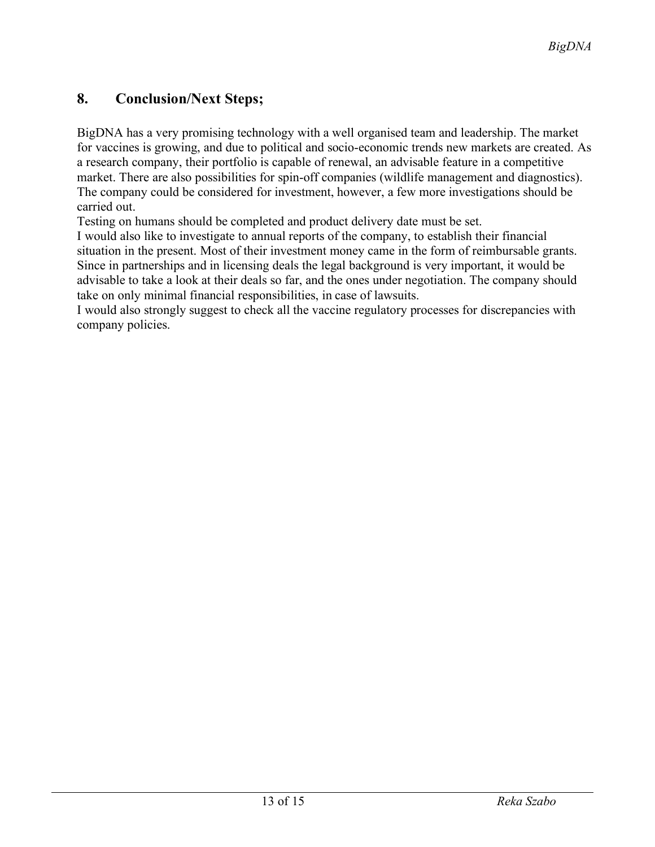## **8. Conclusion/Next Steps;**

BigDNA has a very promising technology with a well organised team and leadership. The market for vaccines is growing, and due to political and socio-economic trends new markets are created. As a research company, their portfolio is capable of renewal, an advisable feature in a competitive market. There are also possibilities for spin-off companies (wildlife management and diagnostics). The company could be considered for investment, however, a few more investigations should be carried out.

Testing on humans should be completed and product delivery date must be set.

I would also like to investigate to annual reports of the company, to establish their financial situation in the present. Most of their investment money came in the form of reimbursable grants. Since in partnerships and in licensing deals the legal background is very important, it would be advisable to take a look at their deals so far, and the ones under negotiation. The company should take on only minimal financial responsibilities, in case of lawsuits.

I would also strongly suggest to check all the vaccine regulatory processes for discrepancies with company policies.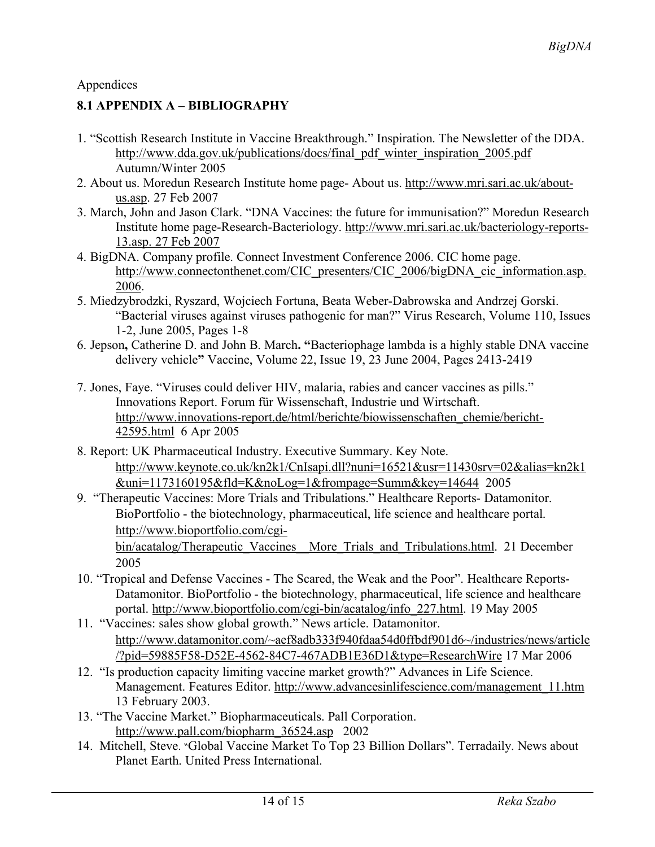#### Appendices

#### **8.1 APPENDIX A – BIBLIOGRAPHY**

- 1. "Scottish Research Institute in Vaccine Breakthrough." Inspiration. The Newsletter of the DDA. http://www.dda.gov.uk/publications/docs/final\_pdf\_winter\_inspiration\_2005.pdf Autumn/Winter 2005
- 2. About us. Moredun Research Institute home page- About us. http://www.mri.sari.ac.uk/aboutus.asp. 27 Feb 2007
- 3. March, John and Jason Clark. "DNA Vaccines: the future for immunisation?" Moredun Research Institute home page-Research-Bacteriology. http://www.mri.sari.ac.uk/bacteriology-reports-13.asp. 27 Feb 2007
- 4. BigDNA. Company profile. Connect Investment Conference 2006. CIC home page. http://www.connectonthenet.com/CIC\_presenters/CIC\_2006/bigDNA\_cic\_information.asp. 2006.
- 5. Miedzybrodzki, Ryszard, Wojciech Fortuna, Beata Weber-Dabrowska and Andrzej Gorski. "Bacterial viruses against viruses pathogenic for man?" Virus Research, Volume 110, Issues 1-2, June 2005, Pages 1-8
- 6. Jepson**,** Catherine D. and John B. March**. "**Bacteriophage lambda is a highly stable DNA vaccine delivery vehicle**"** Vaccine, Volume 22, Issue 19, 23 June 2004, Pages 2413-2419
- 7. Jones, Faye. "Viruses could deliver HIV, malaria, rabies and cancer vaccines as pills." Innovations Report. Forum für Wissenschaft, Industrie und Wirtschaft. http://www.innovations-report.de/html/berichte/biowissenschaften\_chemie/bericht-42595.html 6 Apr 2005
- 8. Report: UK Pharmaceutical Industry. Executive Summary. Key Note. http://www.keynote.co.uk/kn2k1/CnIsapi.dll?nuni=16521&usr=11430srv=02&alias=kn2k1 &uni=1173160195&fld=K&noLog=1&frompage=Summ&key=14644 2005
- 9. "Therapeutic Vaccines: More Trials and Tribulations." Healthcare Reports- Datamonitor. BioPortfolio - the biotechnology, pharmaceutical, life science and healthcare portal. http://www.bioportfolio.com/cgi-

bin/acatalog/Therapeutic\_Vaccines\_More\_Trials\_and\_Tribulations.html. 21 December 2005

- 10. "Tropical and Defense Vaccines The Scared, the Weak and the Poor". Healthcare Reports-Datamonitor. BioPortfolio - the biotechnology, pharmaceutical, life science and healthcare portal. http://www.bioportfolio.com/cgi-bin/acatalog/info\_227.html. 19 May 2005
- 11. "Vaccines: sales show global growth." News article. Datamonitor. http://www.datamonitor.com/~aef8adb333f940fdaa54d0ffbdf901d6~/industries/news/article /?pid=59885F58-D52E-4562-84C7-467ADB1E36D1&type=ResearchWire 17 Mar 2006
- 12. "Is production capacity limiting vaccine market growth?" Advances in Life Science. Management. Features Editor. http://www.advancesinlifescience.com/management\_11.htm 13 February 2003.
- 13. "The Vaccine Market." Biopharmaceuticals. Pall Corporation. http://www.pall.com/biopharm\_36524.asp 2002
- 14. Mitchell, Steve. "Global Vaccine Market To Top 23 Billion Dollars". Terradaily. News about Planet Earth. United Press International.